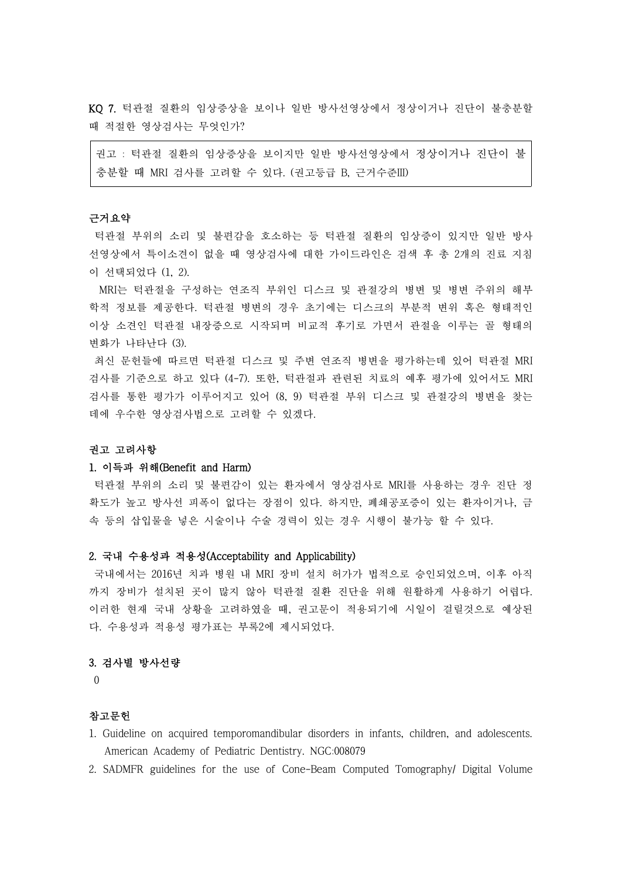KQ 7. 턱관절 질환의 임상증상을 보이나 일반 방사선영상에서 정상이거나 진단이 불충분할 때 적절한 영상검사는 무엇인가?

권고 : 턱관절 질환의 임상증상을 보이지만 일반 방사선영상에서 정상이거나 진단이 불 충분할 때 MRI 검사를 고려할 수 있다. (권고등급 B, 근거수준III)

### 근거요약

턱관절 부위의 소리 및 불편감을 호소하는 등 턱관절 질환의 임상증이 있지만 일반 방사 선영상에서 특이소견이 없을 때 영상검사에 대한 가이드라인은 검색 후 총 2개의 진료 지침 이 선택되었다 (1, 2).

 MRI는 턱관절을 구성하는 연조직 부위인 디스크 및 관절강의 병변 및 병변 주위의 해부 학적 정보를 제공한다. 턱관절 병변의 경우 초기에는 디스크의 부분적 변위 혹은 형태적인 이상 소견인 턱관절 내장증으로 시작되며 비교적 후기로 가면서 관절을 이루는 골 형태의 변화가 나타난다 (3).

최신 문헌들에 따르면 턱관절 디스크 및 주변 연조직 병변을 평가하는데 있어 턱관절 MRI 검사를 기준으로 하고 있다 (4-7). 또한, 턱관절과 관련된 치료의 예후 평가에 있어서도 MRI 검사를 통한 평가가 이루어지고 있어 (8, 9) 턱관절 부위 디스크 및 관절강의 병변을 찾는 데에 우수한 영상검사법으로 고려할 수 있겠다.<br><br>**권고 고려사항** 

## 1. 이득과 위해(Benefit and Harm)

턱관절 부위의 소리 및 불편감이 있는 환자에서 영상검사로 MRI를 사용하는 경우 진단 정 확도가 높고 방사선 피폭이 없다는 장점이 있다. 하지만, 폐쇄공포증이 있는 환자이거나, 금 속 등의 삽입물을 넣은 시술이나 수술 경력이 있는 경우 시행이 불가능 할 수 있다.

#### 2. 국내 수용성과 적용성(Acceptability and Applicability)

국내에서는 2016년 치과 병원 내 MRI 장비 설치 허가가 법적으로 승인되었으며, 이후 아직 까지 장비가 설치된 곳이 많지 않아 턱관절 질환 진단을 위해 원활하게 사용하기 어렵다.<br>이러한 현재 국내 상황을 고려하였을 때, 권고문이 적용되기에 시일이 걸릴것으로 예상된 다. 수용성과 적용성 평가표는 부록2에 제시되었다.

## 3. 검사별 방사선량

0

# 참고문헌

- 1. Guideline on acquired temporomandibular disorders in infants, children, and adolescents. American Academy of Pediatric Dentistry. NGC:008079
- 2. SADMFR guidelines for the use of Cone-Beam Computed Tomography/ Digital Volume